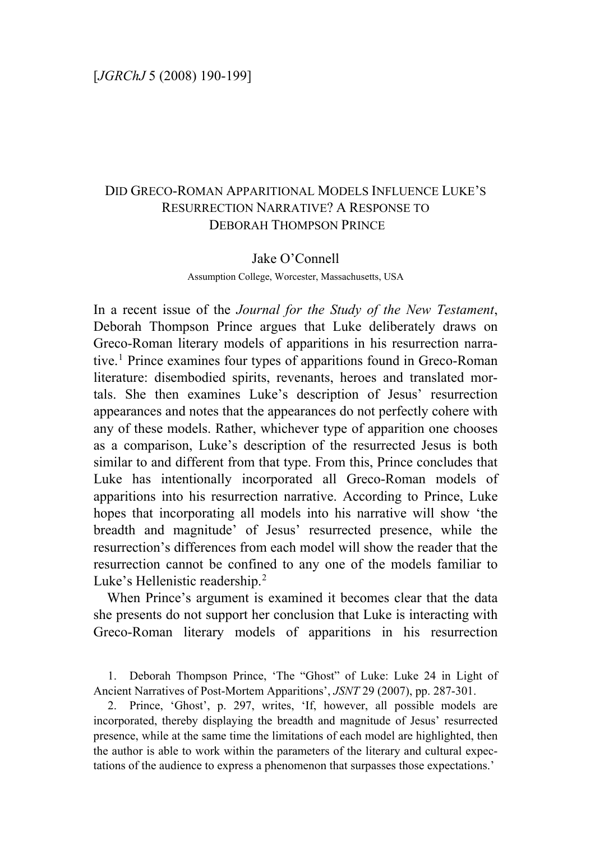# DID GRECO-ROMAN APPARITIONAL MODELS INFLUENCE LUKE'S RESURRECTION NARRATIVE? A RESPONSE TO DEBORAH THOMPSON PRINCE

### Jake O'Connell

#### Assumption College, Worcester, Massachusetts, USA

In a recent issue of the *Journal for the Study of the New Testament*, Deborah Thompson Prince argues that Luke deliberately draws on Greco-Roman literary models of apparitions in his resurrection narrative.[1](#page-0-0) Prince examines four types of apparitions found in Greco-Roman literature: disembodied spirits, revenants, heroes and translated mortals. She then examines Luke's description of Jesus' resurrection appearances and notes that the appearances do not perfectly cohere with any of these models. Rather, whichever type of apparition one chooses as a comparison, Luke's description of the resurrected Jesus is both similar to and different from that type. From this, Prince concludes that Luke has intentionally incorporated all Greco-Roman models of apparitions into his resurrection narrative. According to Prince, Luke hopes that incorporating all models into his narrative will show 'the breadth and magnitude' of Jesus' resurrected presence, while the resurrection's differences from each model will show the reader that the resurrection cannot be confined to any one of the models familiar to Luke's Hellenistic readership.<sup>[2](#page-0-1)</sup>

When Prince's argument is examined it becomes clear that the data she presents do not support her conclusion that Luke is interacting with Greco-Roman literary models of apparitions in his resurrection

<span id="page-0-0"></span>1. Deborah Thompson Prince, 'The "Ghost" of Luke: Luke 24 in Light of Ancient Narratives of Post-Mortem Apparitions', *JSNT* 29 (2007), pp. 287-301.

<span id="page-0-1"></span>2. Prince, 'Ghost', p. 297, writes, 'If, however, all possible models are incorporated, thereby displaying the breadth and magnitude of Jesus' resurrected presence, while at the same time the limitations of each model are highlighted, then the author is able to work within the parameters of the literary and cultural expectations of the audience to express a phenomenon that surpasses those expectations.'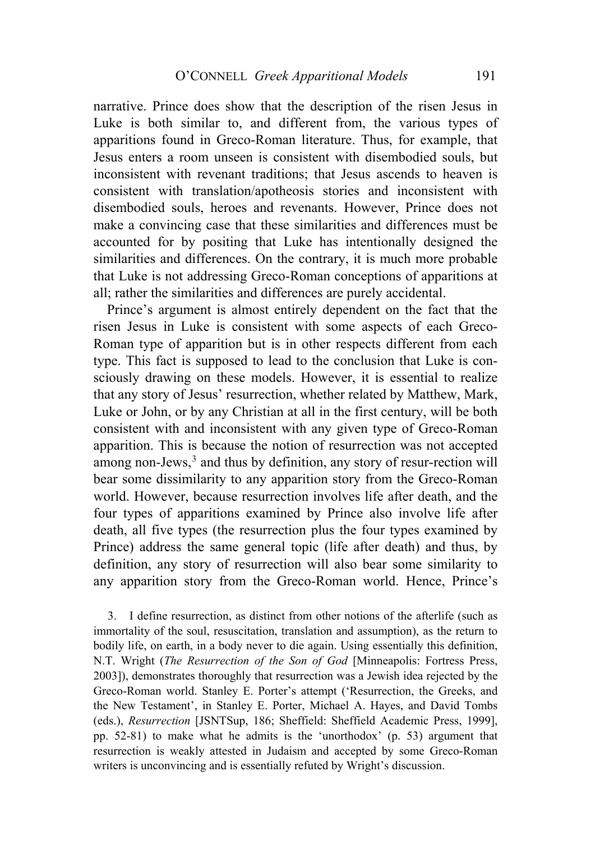narrative. Prince does show that the description of the risen Jesus in Luke is both similar to, and different from, the various types of apparitions found in Greco-Roman literature. Thus, for example, that Jesus enters a room unseen is consistent with disembodied souls, but inconsistent with revenant traditions; that Jesus ascends to heaven is consistent with translation/apotheosis stories and inconsistent with disembodied souls, heroes and revenants. However, Prince does not make a convincing case that these similarities and differences must be accounted for by positing that Luke has intentionally designed the similarities and differences. On the contrary, it is much more probable that Luke is not addressing Greco-Roman conceptions of apparitions at all; rather the similarities and differences are purely accidental.

Prince's argument is almost entirely dependent on the fact that the risen Jesus in Luke is consistent with some aspects of each Greco-Roman type of apparition but is in other respects different from each type. This fact is supposed to lead to the conclusion that Luke is consciously drawing on these models. However, it is essential to realize that any story of Jesus' resurrection, whether related by Matthew, Mark, Luke or John, or by any Christian at all in the first century, will be both consistent with and inconsistent with any given type of Greco-Roman apparition. This is because the notion of resurrection was not accepted among non-Jews, $3$  and thus by definition, any story of resur-rection will bear some dissimilarity to any apparition story from the Greco-Roman world. However, because resurrection involves life after death, and the four types of apparitions examined by Prince also involve life after death, all five types (the resurrection plus the four types examined by Prince) address the same general topic (life after death) and thus, by definition, any story of resurrection will also bear some similarity to any apparition story from the Greco-Roman world. Hence, Prince's

<span id="page-1-0"></span>3. I define resurrection, as distinct from other notions of the afterlife (such as immortality of the soul, resuscitation, translation and assumption), as the return to bodily life, on earth, in a body never to die again. Using essentially this definition, N.T. Wright (*The Resurrection of the Son of God* [Minneapolis: Fortress Press, 2003]), demonstrates thoroughly that resurrection was a Jewish idea rejected by the Greco-Roman world. Stanley E. Porter's attempt ('Resurrection, the Greeks, and the New Testament', in Stanley E. Porter, Michael A. Hayes, and David Tombs (eds.), *Resurrection* [JSNTSup, 186; Sheffield: Sheffield Academic Press, 1999], pp. 52-81) to make what he admits is the 'unorthodox' (p. 53) argument that resurrection is weakly attested in Judaism and accepted by some Greco-Roman writers is unconvincing and is essentially refuted by Wright's discussion.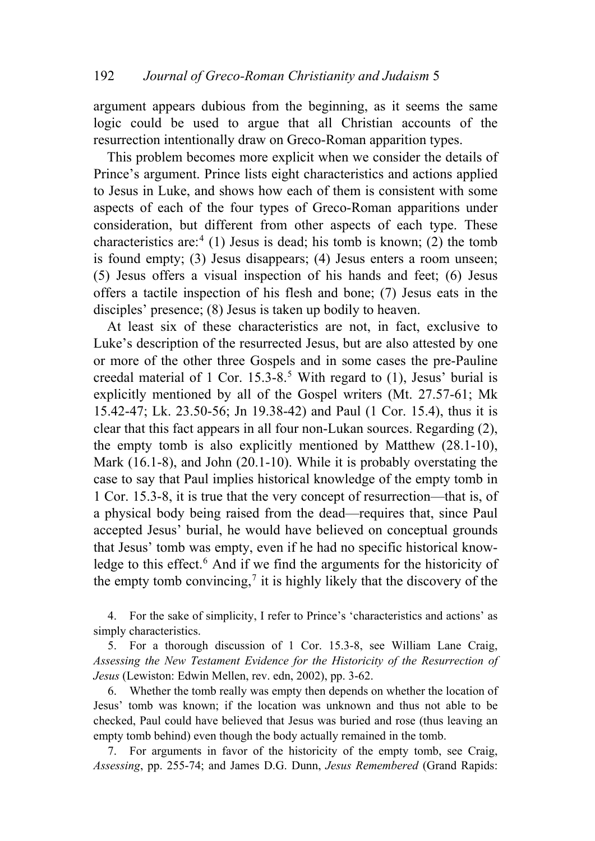argument appears dubious from the beginning, as it seems the same logic could be used to argue that all Christian accounts of the resurrection intentionally draw on Greco-Roman apparition types.

This problem becomes more explicit when we consider the details of Prince's argument. Prince lists eight characteristics and actions applied to Jesus in Luke, and shows how each of them is consistent with some aspects of each of the four types of Greco-Roman apparitions under consideration, but different from other aspects of each type. These characteristics are:<sup>[4](#page-2-0)</sup> (1) Jesus is dead; his tomb is known; (2) the tomb is found empty; (3) Jesus disappears; (4) Jesus enters a room unseen; (5) Jesus offers a visual inspection of his hands and feet; (6) Jesus offers a tactile inspection of his flesh and bone; (7) Jesus eats in the disciples' presence; (8) Jesus is taken up bodily to heaven.

At least six of these characteristics are not, in fact, exclusive to Luke's description of the resurrected Jesus, but are also attested by one or more of the other three Gospels and in some cases the pre-Pauline creedal material of 1 Cor.  $15.3-8.5$  $15.3-8.5$  $15.3-8.5$  With regard to (1), Jesus' burial is explicitly mentioned by all of the Gospel writers (Mt. 27.57-61; Mk 15.42-47; Lk. 23.50-56; Jn 19.38-42) and Paul (1 Cor. 15.4), thus it is clear that this fact appears in all four non-Lukan sources. Regarding (2), the empty tomb is also explicitly mentioned by Matthew (28.1-10), Mark (16.1-8), and John (20.1-10). While it is probably overstating the case to say that Paul implies historical knowledge of the empty tomb in 1 Cor. 15.3-8, it is true that the very concept of resurrection—that is, of a physical body being raised from the dead—requires that, since Paul accepted Jesus' burial, he would have believed on conceptual grounds that Jesus' tomb was empty, even if he had no specific historical know-ledge to this effect.<sup>[6](#page-2-2)</sup> And if we find the arguments for the historicity of the empty tomb convincing, $\frac{7}{1}$  $\frac{7}{1}$  $\frac{7}{1}$  it is highly likely that the discovery of the

<span id="page-2-0"></span>4. For the sake of simplicity, I refer to Prince's 'characteristics and actions' as simply characteristics.

<span id="page-2-1"></span>5. For a thorough discussion of 1 Cor. 15.3-8, see William Lane Craig, *Assessing the New Testament Evidence for the Historicity of the Resurrection of Jesus* (Lewiston: Edwin Mellen, rev. edn, 2002), pp. 3-62.

<span id="page-2-2"></span>6. Whether the tomb really was empty then depends on whether the location of Jesus' tomb was known; if the location was unknown and thus not able to be checked, Paul could have believed that Jesus was buried and rose (thus leaving an empty tomb behind) even though the body actually remained in the tomb.

<span id="page-2-3"></span>7. For arguments in favor of the historicity of the empty tomb, see Craig, *Assessing*, pp. 255-74; and James D.G. Dunn, *Jesus Remembered* (Grand Rapids: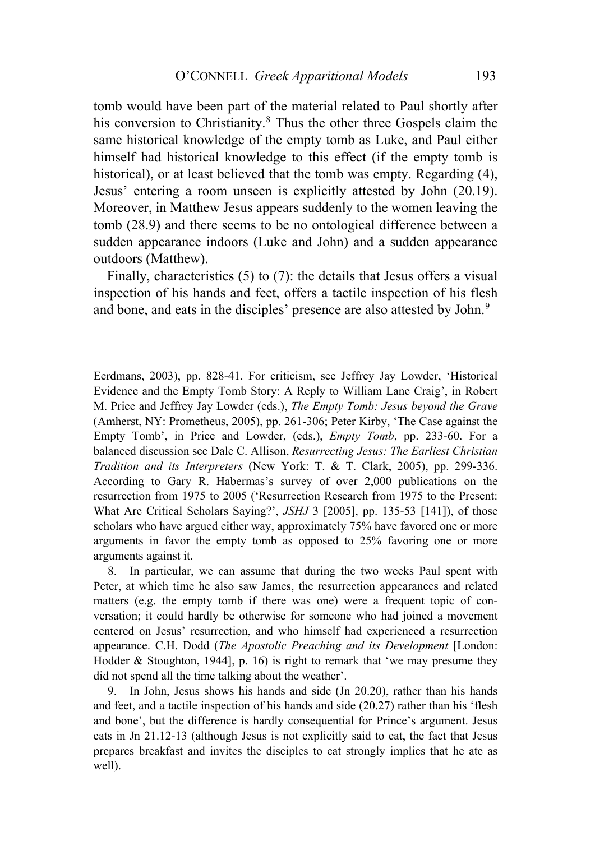tomb would have been part of the material related to Paul shortly after his conversion to Christianity.<sup>[8](#page-3-0)</sup> Thus the other three Gospels claim the same historical knowledge of the empty tomb as Luke, and Paul either himself had historical knowledge to this effect (if the empty tomb is historical), or at least believed that the tomb was empty. Regarding (4), Jesus' entering a room unseen is explicitly attested by John (20.19). Moreover, in Matthew Jesus appears suddenly to the women leaving the tomb (28.9) and there seems to be no ontological difference between a sudden appearance indoors (Luke and John) and a sudden appearance outdoors (Matthew).

Finally, characteristics (5) to (7): the details that Jesus offers a visual inspection of his hands and feet, offers a tactile inspection of his flesh and bone, and eats in the disciples' presence are also attested by John.<sup>[9](#page-3-1)</sup>

Eerdmans, 2003), pp. 828-41. For criticism, see Jeffrey Jay Lowder, 'Historical Evidence and the Empty Tomb Story: A Reply to William Lane Craig', in Robert M. Price and Jeffrey Jay Lowder (eds.), *The Empty Tomb: Jesus beyond the Grave* (Amherst, NY: Prometheus, 2005), pp. 261-306; Peter Kirby, 'The Case against the Empty Tomb', in Price and Lowder, (eds.), *Empty Tomb*, pp. 233-60. For a balanced discussion see Dale C. Allison, *Resurrecting Jesus: The Earliest Christian Tradition and its Interpreters* (New York: T. & T. Clark, 2005), pp. 299-336. According to Gary R. Habermas's survey of over 2,000 publications on the resurrection from 1975 to 2005 ('Resurrection Research from 1975 to the Present: What Are Critical Scholars Saying?', *JSHJ* 3 [2005], pp. 135-53 [141]), of those scholars who have argued either way, approximately 75% have favored one or more arguments in favor the empty tomb as opposed to 25% favoring one or more arguments against it.

<span id="page-3-0"></span>8. In particular, we can assume that during the two weeks Paul spent with Peter, at which time he also saw James, the resurrection appearances and related matters (e.g. the empty tomb if there was one) were a frequent topic of conversation; it could hardly be otherwise for someone who had joined a movement centered on Jesus' resurrection, and who himself had experienced a resurrection appearance. C.H. Dodd (*The Apostolic Preaching and its Development* [London: Hodder  $\&$  Stoughton, 1944], p. 16) is right to remark that 'we may presume they did not spend all the time talking about the weather'.

<span id="page-3-1"></span>9. In John, Jesus shows his hands and side (Jn 20.20), rather than his hands and feet, and a tactile inspection of his hands and side (20.27) rather than his 'flesh and bone', but the difference is hardly consequential for Prince's argument. Jesus eats in Jn 21.12-13 (although Jesus is not explicitly said to eat, the fact that Jesus prepares breakfast and invites the disciples to eat strongly implies that he ate as well).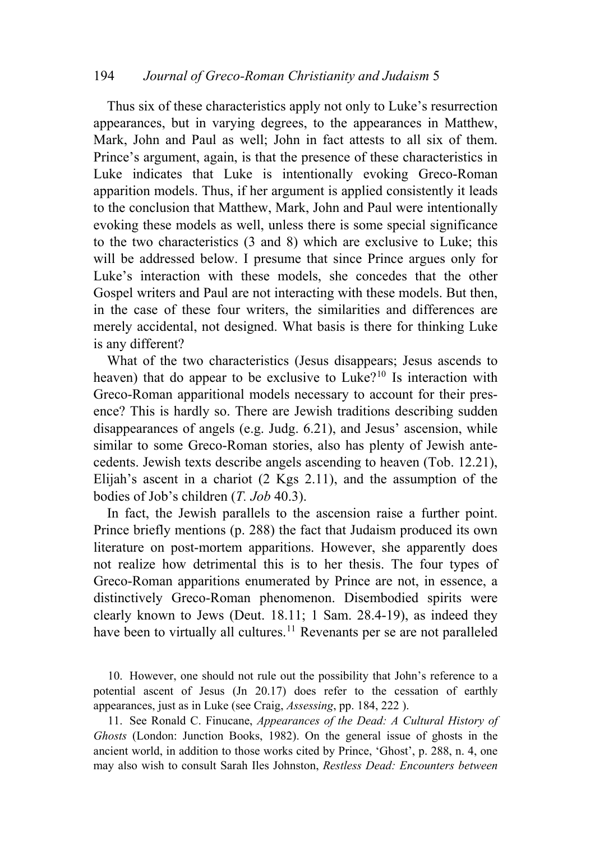### 194 *Journal of Greco-Roman Christianity and Judaism* 5

Thus six of these characteristics apply not only to Luke's resurrection appearances, but in varying degrees, to the appearances in Matthew, Mark, John and Paul as well; John in fact attests to all six of them. Prince's argument, again, is that the presence of these characteristics in Luke indicates that Luke is intentionally evoking Greco-Roman apparition models. Thus, if her argument is applied consistently it leads to the conclusion that Matthew, Mark, John and Paul were intentionally evoking these models as well, unless there is some special significance to the two characteristics (3 and 8) which are exclusive to Luke; this will be addressed below. I presume that since Prince argues only for Luke's interaction with these models, she concedes that the other Gospel writers and Paul are not interacting with these models. But then, in the case of these four writers, the similarities and differences are merely accidental, not designed. What basis is there for thinking Luke is any different?

What of the two characteristics (Jesus disappears; Jesus ascends to heaven) that do appear to be exclusive to Luke?<sup>[10](#page-4-0)</sup> Is interaction with Greco-Roman apparitional models necessary to account for their presence? This is hardly so. There are Jewish traditions describing sudden disappearances of angels (e.g. Judg. 6.21), and Jesus' ascension, while similar to some Greco-Roman stories, also has plenty of Jewish antecedents. Jewish texts describe angels ascending to heaven (Tob. 12.21), Elijah's ascent in a chariot (2 Kgs 2.11), and the assumption of the bodies of Job's children (*T. Job* 40.3).

In fact, the Jewish parallels to the ascension raise a further point. Prince briefly mentions (p. 288) the fact that Judaism produced its own literature on post-mortem apparitions. However, she apparently does not realize how detrimental this is to her thesis. The four types of Greco-Roman apparitions enumerated by Prince are not, in essence, a distinctively Greco-Roman phenomenon. Disembodied spirits were clearly known to Jews (Deut. 18.11; 1 Sam. 28.4-19), as indeed they have been to virtually all cultures.<sup>[11](#page-4-1)</sup> Revenants per se are not paralleled

<span id="page-4-0"></span>10. However, one should not rule out the possibility that John's reference to a potential ascent of Jesus (Jn 20.17) does refer to the cessation of earthly appearances, just as in Luke (see Craig, *Assessing*, pp. 184, 222 ).

<span id="page-4-1"></span>11. See Ronald C. Finucane, *Appearances of the Dead: A Cultural History of Ghosts* (London: Junction Books, 1982). On the general issue of ghosts in the ancient world, in addition to those works cited by Prince, 'Ghost', p. 288, n. 4, one may also wish to consult Sarah Iles Johnston, *Restless Dead: Encounters between*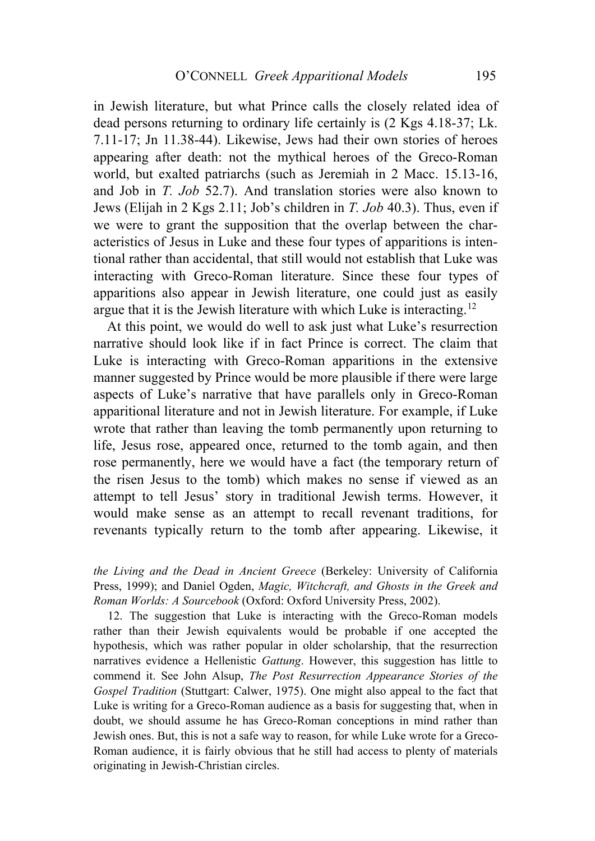in Jewish literature, but what Prince calls the closely related idea of dead persons returning to ordinary life certainly is (2 Kgs 4.18-37; Lk. 7.11-17; Jn 11.38-44). Likewise, Jews had their own stories of heroes appearing after death: not the mythical heroes of the Greco-Roman world, but exalted patriarchs (such as Jeremiah in 2 Macc. 15.13-16, and Job in *T. Job* 52.7). And translation stories were also known to Jews (Elijah in 2 Kgs 2.11; Job's children in *T. Job* 40.3). Thus, even if we were to grant the supposition that the overlap between the characteristics of Jesus in Luke and these four types of apparitions is intentional rather than accidental, that still would not establish that Luke was interacting with Greco-Roman literature. Since these four types of apparitions also appear in Jewish literature, one could just as easily argue that it is the Jewish literature with which Luke is interacting.[12](#page-5-0)

At this point, we would do well to ask just what Luke's resurrection narrative should look like if in fact Prince is correct. The claim that Luke is interacting with Greco-Roman apparitions in the extensive manner suggested by Prince would be more plausible if there were large aspects of Luke's narrative that have parallels only in Greco-Roman apparitional literature and not in Jewish literature. For example, if Luke wrote that rather than leaving the tomb permanently upon returning to life, Jesus rose, appeared once, returned to the tomb again, and then rose permanently, here we would have a fact (the temporary return of the risen Jesus to the tomb) which makes no sense if viewed as an attempt to tell Jesus' story in traditional Jewish terms. However, it would make sense as an attempt to recall revenant traditions, for revenants typically return to the tomb after appearing. Likewise, it

*the Living and the Dead in Ancient Greece* (Berkeley: University of California Press, 1999); and Daniel Ogden, *Magic, Witchcraft, and Ghosts in the Greek and Roman Worlds: A Sourcebook* (Oxford: Oxford University Press, 2002).

<span id="page-5-0"></span>12. The suggestion that Luke is interacting with the Greco-Roman models rather than their Jewish equivalents would be probable if one accepted the hypothesis, which was rather popular in older scholarship, that the resurrection narratives evidence a Hellenistic *Gattung*. However, this suggestion has little to commend it. See John Alsup, *The Post Resurrection Appearance Stories of the Gospel Tradition* (Stuttgart: Calwer, 1975). One might also appeal to the fact that Luke is writing for a Greco-Roman audience as a basis for suggesting that, when in doubt, we should assume he has Greco-Roman conceptions in mind rather than Jewish ones. But, this is not a safe way to reason, for while Luke wrote for a Greco-Roman audience, it is fairly obvious that he still had access to plenty of materials originating in Jewish-Christian circles.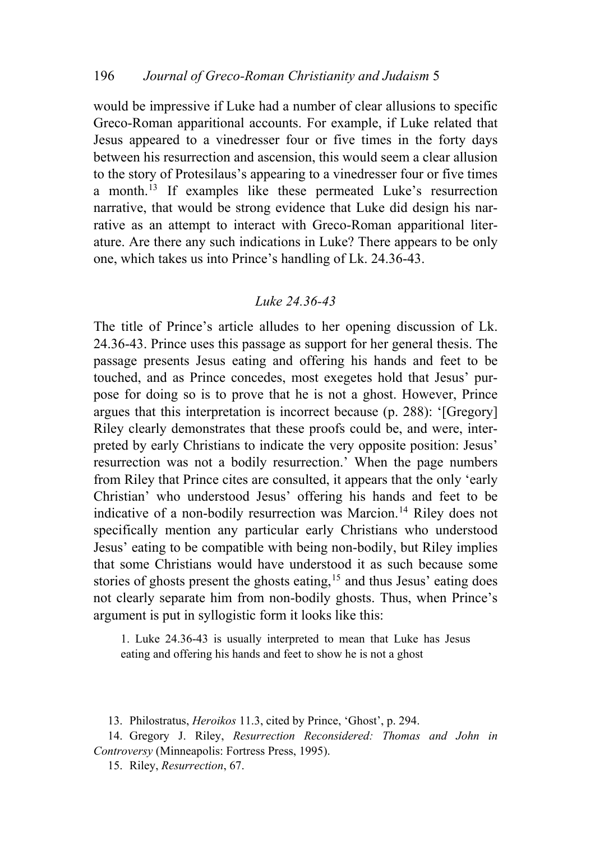would be impressive if Luke had a number of clear allusions to specific Greco-Roman apparitional accounts. For example, if Luke related that Jesus appeared to a vinedresser four or five times in the forty days between his resurrection and ascension, this would seem a clear allusion to the story of Protesilaus's appearing to a vinedresser four or five times a month.[13](#page-6-0) If examples like these permeated Luke's resurrection narrative, that would be strong evidence that Luke did design his narrative as an attempt to interact with Greco-Roman apparitional literature. Are there any such indications in Luke? There appears to be only one, which takes us into Prince's handling of Lk. 24.36-43.

## *Luke 24.36-43*

The title of Prince's article alludes to her opening discussion of Lk. 24.36-43. Prince uses this passage as support for her general thesis. The passage presents Jesus eating and offering his hands and feet to be touched, and as Prince concedes, most exegetes hold that Jesus' purpose for doing so is to prove that he is not a ghost. However, Prince argues that this interpretation is incorrect because (p. 288): '[Gregory] Riley clearly demonstrates that these proofs could be, and were, interpreted by early Christians to indicate the very opposite position: Jesus' resurrection was not a bodily resurrection.' When the page numbers from Riley that Prince cites are consulted, it appears that the only 'early Christian' who understood Jesus' offering his hands and feet to be indicative of a non-bodily resurrection was Marcion.<sup>[14](#page-6-1)</sup> Riley does not specifically mention any particular early Christians who understood Jesus' eating to be compatible with being non-bodily, but Riley implies that some Christians would have understood it as such because some stories of ghosts present the ghosts eating,<sup>[15](#page-6-2)</sup> and thus Jesus' eating does not clearly separate him from non-bodily ghosts. Thus, when Prince's argument is put in syllogistic form it looks like this:

1. Luke 24.36-43 is usually interpreted to mean that Luke has Jesus eating and offering his hands and feet to show he is not a ghost

13. Philostratus, *Heroikos* 11.3, cited by Prince, 'Ghost', p. 294.

15. Riley, *Resurrection*, 67.

<span id="page-6-2"></span><span id="page-6-1"></span><span id="page-6-0"></span><sup>14.</sup> Gregory J. Riley, *Resurrection Reconsidered: Thomas and John in Controversy* (Minneapolis: Fortress Press, 1995).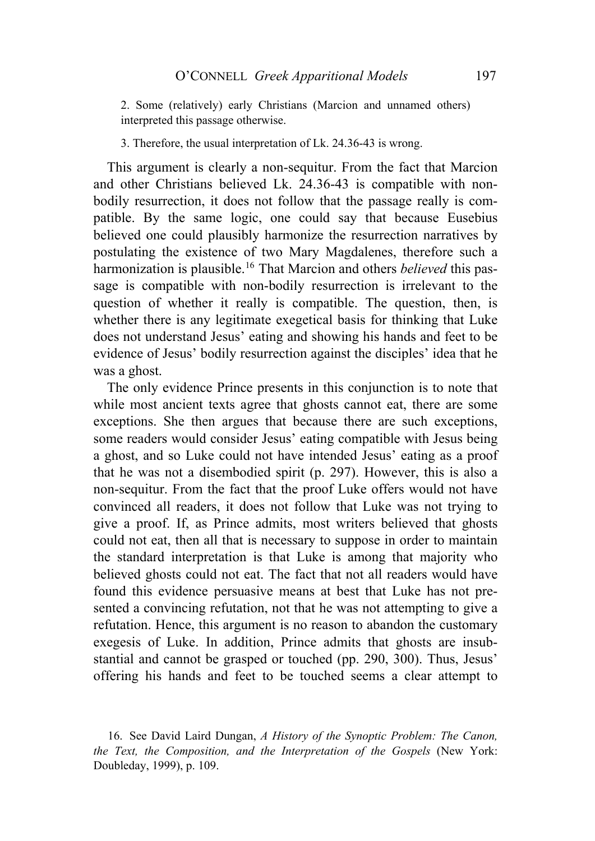2. Some (relatively) early Christians (Marcion and unnamed others) interpreted this passage otherwise.

3. Therefore, the usual interpretation of Lk. 24.36-43 is wrong.

This argument is clearly a non-sequitur. From the fact that Marcion and other Christians believed Lk. 24.36-43 is compatible with nonbodily resurrection, it does not follow that the passage really is compatible. By the same logic, one could say that because Eusebius believed one could plausibly harmonize the resurrection narratives by postulating the existence of two Mary Magdalenes, therefore such a harmonization is plausible.[16](#page-7-0) That Marcion and others *believed* this passage is compatible with non-bodily resurrection is irrelevant to the question of whether it really is compatible. The question, then, is whether there is any legitimate exegetical basis for thinking that Luke does not understand Jesus' eating and showing his hands and feet to be evidence of Jesus' bodily resurrection against the disciples' idea that he was a ghost.

The only evidence Prince presents in this conjunction is to note that while most ancient texts agree that ghosts cannot eat, there are some exceptions. She then argues that because there are such exceptions, some readers would consider Jesus' eating compatible with Jesus being a ghost, and so Luke could not have intended Jesus' eating as a proof that he was not a disembodied spirit (p. 297). However, this is also a non-sequitur. From the fact that the proof Luke offers would not have convinced all readers, it does not follow that Luke was not trying to give a proof. If, as Prince admits, most writers believed that ghosts could not eat, then all that is necessary to suppose in order to maintain the standard interpretation is that Luke is among that majority who believed ghosts could not eat. The fact that not all readers would have found this evidence persuasive means at best that Luke has not presented a convincing refutation, not that he was not attempting to give a refutation. Hence, this argument is no reason to abandon the customary exegesis of Luke. In addition, Prince admits that ghosts are insubstantial and cannot be grasped or touched (pp. 290, 300). Thus, Jesus' offering his hands and feet to be touched seems a clear attempt to

<span id="page-7-0"></span><sup>16.</sup> See David Laird Dungan, *A History of the Synoptic Problem: The Canon, the Text, the Composition, and the Interpretation of the Gospels* (New York: Doubleday, 1999), p. 109.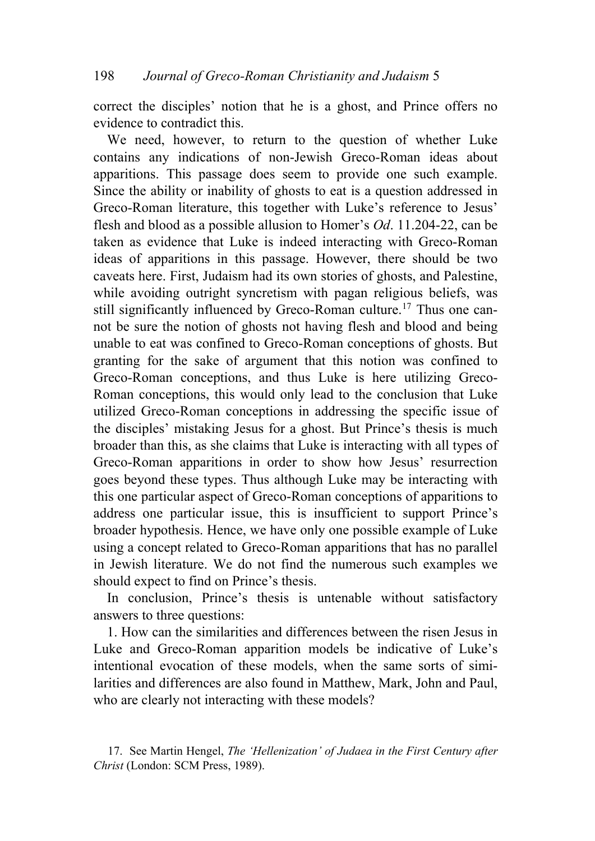correct the disciples' notion that he is a ghost, and Prince offers no evidence to contradict this.

We need, however, to return to the question of whether Luke contains any indications of non-Jewish Greco-Roman ideas about apparitions. This passage does seem to provide one such example. Since the ability or inability of ghosts to eat is a question addressed in Greco-Roman literature, this together with Luke's reference to Jesus' flesh and blood as a possible allusion to Homer's *Od*. 11.204-22, can be taken as evidence that Luke is indeed interacting with Greco-Roman ideas of apparitions in this passage. However, there should be two caveats here. First, Judaism had its own stories of ghosts, and Palestine, while avoiding outright syncretism with pagan religious beliefs, was still significantly influenced by Greco-Roman culture.<sup>[17](#page-8-0)</sup> Thus one cannot be sure the notion of ghosts not having flesh and blood and being unable to eat was confined to Greco-Roman conceptions of ghosts. But granting for the sake of argument that this notion was confined to Greco-Roman conceptions, and thus Luke is here utilizing Greco-Roman conceptions, this would only lead to the conclusion that Luke utilized Greco-Roman conceptions in addressing the specific issue of the disciples' mistaking Jesus for a ghost. But Prince's thesis is much broader than this, as she claims that Luke is interacting with all types of Greco-Roman apparitions in order to show how Jesus' resurrection goes beyond these types. Thus although Luke may be interacting with this one particular aspect of Greco-Roman conceptions of apparitions to address one particular issue, this is insufficient to support Prince's broader hypothesis. Hence, we have only one possible example of Luke using a concept related to Greco-Roman apparitions that has no parallel in Jewish literature. We do not find the numerous such examples we should expect to find on Prince's thesis.

In conclusion, Prince's thesis is untenable without satisfactory answers to three questions:

1. How can the similarities and differences between the risen Jesus in Luke and Greco-Roman apparition models be indicative of Luke's intentional evocation of these models, when the same sorts of similarities and differences are also found in Matthew, Mark, John and Paul, who are clearly not interacting with these models?

<span id="page-8-0"></span><sup>17.</sup> See Martin Hengel, *The 'Hellenization' of Judaea in the First Century after Christ* (London: SCM Press, 1989).